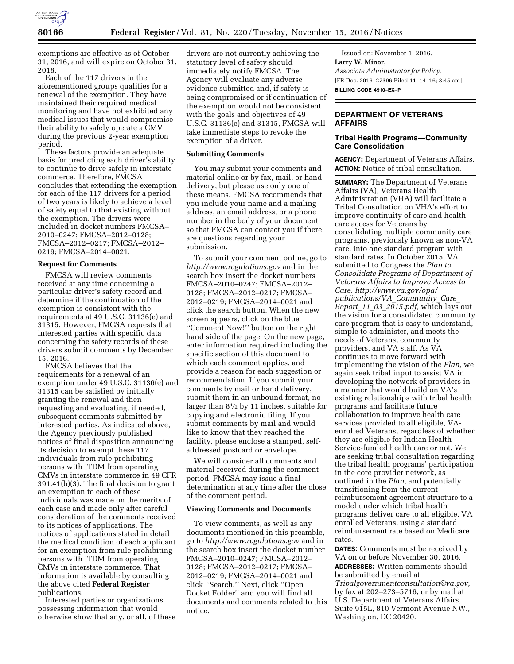

exemptions are effective as of October 31, 2016, and will expire on October 31, 2018.

Each of the 117 drivers in the aforementioned groups qualifies for a renewal of the exemption. They have maintained their required medical monitoring and have not exhibited any medical issues that would compromise their ability to safely operate a CMV during the previous 2-year exemption period.

These factors provide an adequate basis for predicting each driver's ability to continue to drive safely in interstate commerce. Therefore, FMCSA concludes that extending the exemption for each of the 117 drivers for a period of two years is likely to achieve a level of safety equal to that existing without the exemption. The drivers were included in docket numbers FMCSA– 2010–0247; FMCSA–2012–0128; FMCSA–2012–0217; FMCSA–2012– 0219; FMCSA–2014–0021.

### **Request for Comments**

FMCSA will review comments received at any time concerning a particular driver's safety record and determine if the continuation of the exemption is consistent with the requirements at 49 U.S.C. 31136(e) and 31315. However, FMCSA requests that interested parties with specific data concerning the safety records of these drivers submit comments by December 15, 2016.

FMCSA believes that the requirements for a renewal of an exemption under 49 U.S.C. 31136(e) and 31315 can be satisfied by initially granting the renewal and then requesting and evaluating, if needed, subsequent comments submitted by interested parties. As indicated above, the Agency previously published notices of final disposition announcing its decision to exempt these 117 individuals from rule prohibiting persons with ITDM from operating CMVs in interstate commerce in 49 CFR 391.41(b)(3). The final decision to grant an exemption to each of these individuals was made on the merits of each case and made only after careful consideration of the comments received to its notices of applications. The notices of applications stated in detail the medical condition of each applicant for an exemption from rule prohibiting persons with ITDM from operating CMVs in interstate commerce. That information is available by consulting the above cited **Federal Register**  publications.

Interested parties or organizations possessing information that would otherwise show that any, or all, of these drivers are not currently achieving the statutory level of safety should immediately notify FMCSA. The Agency will evaluate any adverse evidence submitted and, if safety is being compromised or if continuation of the exemption would not be consistent with the goals and objectives of 49 U.S.C. 31136(e) and 31315, FMCSA will take immediate steps to revoke the exemption of a driver.

#### **Submitting Comments**

You may submit your comments and material online or by fax, mail, or hand delivery, but please use only one of these means. FMCSA recommends that you include your name and a mailing address, an email address, or a phone number in the body of your document so that FMCSA can contact you if there are questions regarding your submission.

To submit your comment online, go to *<http://www.regulations.gov>* and in the search box insert the docket numbers FMCSA–2010–0247; FMCSA–2012– 0128; FMCSA–2012–0217; FMCSA– 2012–0219; FMCSA–2014–0021 and click the search button. When the new screen appears, click on the blue ''Comment Now!'' button on the right hand side of the page. On the new page, enter information required including the specific section of this document to which each comment applies, and provide a reason for each suggestion or recommendation. If you submit your comments by mail or hand delivery, submit them in an unbound format, no larger than 81⁄2 by 11 inches, suitable for copying and electronic filing. If you submit comments by mail and would like to know that they reached the facility, please enclose a stamped, selfaddressed postcard or envelope.

We will consider all comments and material received during the comment period. FMCSA may issue a final determination at any time after the close of the comment period.

#### **Viewing Comments and Documents**

To view comments, as well as any documents mentioned in this preamble, go to *<http://www.regulations.gov>*and in the search box insert the docket number FMCSA–2010–0247; FMCSA–2012– 0128; FMCSA–2012–0217; FMCSA– 2012–0219; FMCSA–2014–0021 and click ''Search.'' Next, click ''Open Docket Folder'' and you will find all documents and comments related to this notice.

Issued on: November 1, 2016. **Larry W. Minor,**  *Associate Administrator for Policy.*  [FR Doc. 2016–27396 Filed 11–14–16; 8:45 am] **BILLING CODE 4910–EX–P** 

**DEPARTMENT OF VETERANS AFFAIRS** 

## **Tribal Health Programs—Community Care Consolidation**

**AGENCY:** Department of Veterans Affairs. **ACTION:** Notice of tribal consultation.

**SUMMARY:** The Department of Veterans Affairs (VA), Veterans Health Administration (VHA) will facilitate a Tribal Consultation on VHA's effort to improve continuity of care and health care access for Veterans by consolidating multiple community care programs, previously known as non-VA care, into one standard program with standard rates. In October 2015, VA submitted to Congress the *Plan to Consolidate Programs of Department of Veterans Affairs to Improve Access to Care, [http://www.va.gov/opa/](http://www.va.gov/opa/publications/VA_Community_Care_Report_11_03_2015.pdf) [publications/VA](http://www.va.gov/opa/publications/VA_Community_Care_Report_11_03_2015.pdf)*\_*Community*\_*Care*\_ *Report*\_*11*\_*03*\_*[2015.pdf,](http://www.va.gov/opa/publications/VA_Community_Care_Report_11_03_2015.pdf)* which lays out the vision for a consolidated community care program that is easy to understand, simple to administer, and meets the needs of Veterans, community providers, and VA staff. As VA continues to move forward with implementing the vision of the *Plan,* we again seek tribal input to assist VA in developing the network of providers in a manner that would build on VA's existing relationships with tribal health programs and facilitate future collaboration to improve health care services provided to all eligible, VAenrolled Veterans, regardless of whether they are eligible for Indian Health Service-funded health care or not. We are seeking tribal consultation regarding the tribal health programs' participation in the core provider network, as outlined in the *Plan,* and potentially transitioning from the current reimbursement agreement structure to a model under which tribal health programs deliver care to all eligible, VA enrolled Veterans, using a standard reimbursement rate based on Medicare rates.

**DATES:** Comments must be received by VA on or before November 30, 2016. **ADDRESSES:** Written comments should be submitted by email at *[Tribalgovernmentconsultation@va.gov,](mailto:Tribalgovernmentconsultation@va.gov)*  by fax at 202–273–5716, or by mail at U.S. Department of Veterans Affairs, Suite 915L, 810 Vermont Avenue NW., Washington, DC 20420.